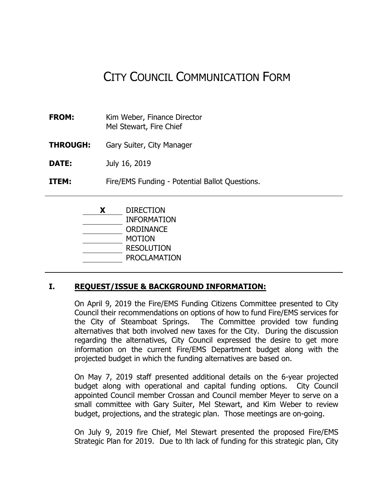# CITY COUNCIL COMMUNICATION FORM

- **FROM:** Kim Weber, Finance Director Mel Stewart, Fire Chief
- **THROUGH:** Gary Suiter, City Manager

**DATE:** July 16, 2019

**ITEM:** Fire/EMS Funding - Potential Ballot Questions.

**X** DIRECTION INFORMATION **ORDINANCE** MOTION RESOLUTION PROCLAMATION

#### **I. REQUEST/ISSUE & BACKGROUND INFORMATION:**

On April 9, 2019 the Fire/EMS Funding Citizens Committee presented to City Council their recommendations on options of how to fund Fire/EMS services for the City of Steamboat Springs. The Committee provided tow funding alternatives that both involved new taxes for the City. During the discussion regarding the alternatives, City Council expressed the desire to get more information on the current Fire/EMS Department budget along with the projected budget in which the funding alternatives are based on.

On May 7, 2019 staff presented additional details on the 6-year projected budget along with operational and capital funding options. City Council appointed Council member Crossan and Council member Meyer to serve on a small committee with Gary Suiter, Mel Stewart, and Kim Weber to review budget, projections, and the strategic plan. Those meetings are on-going.

On July 9, 2019 fire Chief, Mel Stewart presented the proposed Fire/EMS Strategic Plan for 2019. Due to lth lack of funding for this strategic plan, City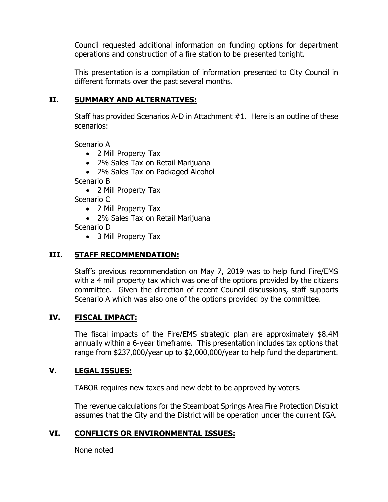Council requested additional information on funding options for department operations and construction of a fire station to be presented tonight.

This presentation is a compilation of information presented to City Council in different formats over the past several months.

#### **II. SUMMARY AND ALTERNATIVES:**

Staff has provided Scenarios A-D in Attachment #1. Here is an outline of these scenarios:

Scenario A

- 2 Mill Property Tax
- 2% Sales Tax on Retail Marijuana
- 2% Sales Tax on Packaged Alcohol

Scenario B

• 2 Mill Property Tax

Scenario C

- 2 Mill Property Tax
- 2% Sales Tax on Retail Marijuana

Scenario D

• 3 Mill Property Tax

# **III. STAFF RECOMMENDATION:**

Staff's previous recommendation on May 7, 2019 was to help fund Fire/EMS with a 4 mill property tax which was one of the options provided by the citizens committee. Given the direction of recent Council discussions, staff supports Scenario A which was also one of the options provided by the committee.

## **IV. FISCAL IMPACT:**

The fiscal impacts of the Fire/EMS strategic plan are approximately \$8.4M annually within a 6-year timeframe. This presentation includes tax options that range from \$237,000/year up to \$2,000,000/year to help fund the department.

#### **V. LEGAL ISSUES:**

TABOR requires new taxes and new debt to be approved by voters.

The revenue calculations for the Steamboat Springs Area Fire Protection District assumes that the City and the District will be operation under the current IGA.

## **VI. CONFLICTS OR ENVIRONMENTAL ISSUES:**

None noted